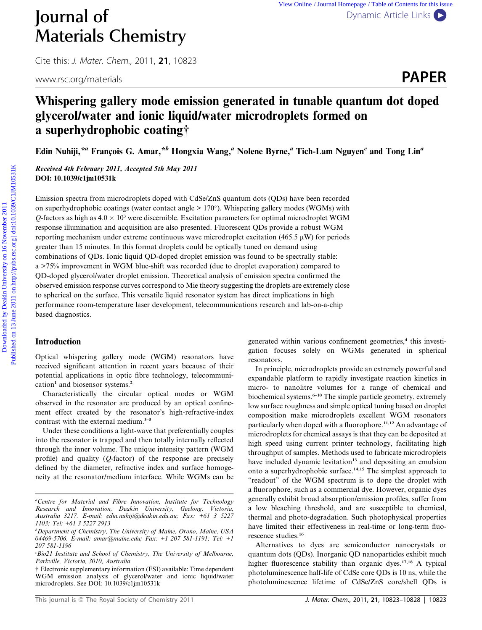Cite this: J. Mater. Chem., 2011, <sup>21</sup>, 10823

# Whispering gallery mode emission generated in tunable quantum dot doped glycerol/water and ionic liquid/water microdroplets formed on a superhydrophobic coating†

Edin Nuhiji,<sup>\*a</sup> François G. Amar,<sup>\*b</sup> Hongxia Wang,<sup>a</sup> Nolene Byrne,<sup>a</sup> Tich-Lam Nguyen<sup>c</sup> and Tong Lin<sup>a</sup>

Received 4th February 2011, Accepted 5th May 2011 DOI: 10.1039/c1jm10531k

Emission spectra from microdroplets doped with CdSe/ZnS quantum dots (QDs) have been recorded on superhydrophobic coatings (water contact angle  $> 170^{\circ}$ ). Whispering gallery modes (WGMs) with O-factors as high as  $4.0 \times 10^3$  were discernible. Excitation parameters for optimal microdroplet WGM response illumination and acquisition are also presented. Fluorescent QDs provide a robust WGM reporting mechanism under extreme continuous wave microdroplet excitation  $(465.5 \mu W)$  for periods greater than 15 minutes. In this format droplets could be optically tuned on demand using combinations of QDs. Ionic liquid QD-doped droplet emission was found to be spectrally stable: a >75% improvement in WGM blue-shift was recorded (due to droplet evaporation) compared to QD-doped glycerol/water droplet emission. Theoretical analysis of emission spectra confirmed the observed emission response curves correspond to Mie theory suggesting the droplets are extremely close to spherical on the surface. This versatile liquid resonator system has direct implications in high performance room-temperature laser development, telecommunications research and lab-on-a-chip based diagnostics. **JOUITNENT MATER COMMULTER CONTRISTLY**<br>
Cite this *L. Moter. Chern*, 2011, **21**, 10823<br>
www.rsc.org/materials<br> **Whispering gallery mode emission generated in tunable quantum dot doped<br>
glycerol/water and ionic liquid/wate** 

### Introduction

Optical whispering gallery mode (WGM) resonators have received significant attention in recent years because of their potential applications in optic fibre technology, telecommunication<sup>1</sup> and biosensor systems.<sup>2</sup>

Characteristically the circular optical modes or WGM observed in the resonator are produced by an optical confinement effect created by the resonator's high-refractive-index contrast with the external medium.<sup>3-5</sup>

Under these conditions a light-wave that preferentially couples into the resonator is trapped and then totally internally reflected through the inner volume. The unique intensity pattern (WGM profile) and quality  $(Q$ -factor) of the response are precisely defined by the diameter, refractive index and surface homogeneity at the resonator/medium interface. While WGMs can be

generated within various confinement geometries,<sup>4</sup> this investigation focuses solely on WGMs generated in spherical resonators. In principle, microdroplets provide an extremely powerful and

expandable platform to rapidly investigate reaction kinetics in micro- to nanolitre volumes for a range of chemical and biochemical systems.<sup>6–10</sup> The simple particle geometry, extremely low surface roughness and simple optical tuning based on droplet composition make microdroplets excellent WGM resonators particularly when doped with a fluorophore.<sup>11,12</sup> An advantage of microdroplets for chemical assays is that they can be deposited at high speed using current printer technology, facilitating high throughput of samples. Methods used to fabricate microdroplets have included dynamic levitation<sup>13</sup> and depositing an emulsion onto a superhydrophobic surface.14,15 The simplest approach to "readout" of the WGM spectrum is to dope the droplet with a fluorophore, such as a commercial dye. However, organic dyes generally exhibit broad absorption/emission profiles, suffer from a low bleaching threshold, and are susceptible to chemical, thermal and photo-degradation. Such photophysical properties have limited their effectiveness in real-time or long-term fluorescence studies.<sup>16</sup>

Alternatives to dyes are semiconductor nanocrystals or quantum dots (QDs). Inorganic QD nanoparticles exhibit much higher fluorescence stability than organic dyes.<sup>17,18</sup> A typical photoluminescence half-life of CdSe core QDs is 10 ns, while the photoluminescence lifetime of CdSe/ZnS core/shell QDs is

<sup>&</sup>lt;sup>a</sup>Centre for Material and Fibre Innovation, Institute for Technology Research and Innovation, Deakin University, Geelong, Victoria, Australia 3217. E-mail: edin.nuhiji@deakin.edu.au; Fax: +61 3 5227 1103; Tel: +61 3 5227 2913

<sup>&</sup>lt;sup>b</sup>Department of Chemistry, The University of Maine, Orono, Maine, USA 04469-5706. E-mail: amar@maine.edu; Fax: +1 207 581-1191; Tel: +1 207 581-1196

c Bio21 Institute and School of Chemistry, The University of Melbourne, Parkville, Victoria, 3010, Australia

<sup>†</sup> Electronic supplementary information (ESI) available: Time dependent WGM emission analysis of glycerol/water and ionic liquid/water microdroplets. See DOI: 10.1039/c1jm10531k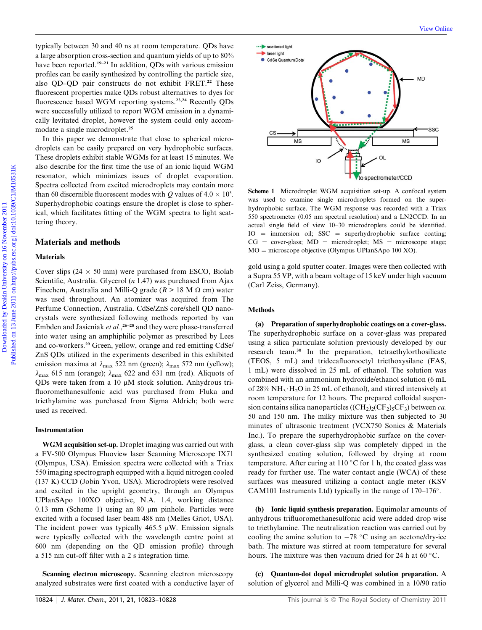typically between 30 and 40 ns at room temperature. QDs have a large absorption cross-section and quantum yields of up to 80% have been reported.<sup>19–21</sup> In addition, ODs with various emission profiles can be easily synthesized by controlling the particle size, also QD–QD pair constructs do not exhibit FRET.<sup>22</sup> These fluorescent properties make QDs robust alternatives to dyes for fluorescence based WGM reporting systems.<sup>23,24</sup> Recently QDs were successfully utilized to report WGM emission in a dynamically levitated droplet, however the system could only accommodate a single microdroplet.<sup>25</sup>

In this paper we demonstrate that close to spherical microdroplets can be easily prepared on very hydrophobic surfaces. These droplets exhibit stable WGMs for at least 15 minutes. We also describe for the first time the use of an ionic liquid WGM resonator, which minimizes issues of droplet evaporation. Spectra collected from excited microdroplets may contain more than 60 discernible fluorescent modes with Q values of  $4.0 \times 10^3$ . Superhydrophobic coatings ensure the droplet is close to spherical, which facilitates fitting of the WGM spectra to light scattering theory.

# Materials and methods

#### **Materials**

Cover slips (24  $\times$  50 mm) were purchased from ESCO, Biolab Scientific, Australia. Glycerol  $(n 1.47)$  was purchased from Ajax Finechem, Australia and Milli-Q grade ( $R > 18$  M  $\Omega$  cm) water was used throughout. An atomizer was acquired from The Perfume Connection, Australia. CdSe/ZnS core/shell QD nanocrystals were synthesized following methods reported by van Embden and Jasieniak et al.,<sup>26–28</sup> and they were phase-transferred into water using an amphiphilic polymer as prescribed by Lees and co-workers.<sup>29</sup> Green, yellow, orange and red emitting CdSe/ ZnS QDs utilized in the experiments described in this exhibited emission maxima at  $\lambda_{\text{max}}$  522 nm (green);  $\lambda_{\text{max}}$  572 nm (yellow);  $\lambda_{\text{max}}$  615 nm (orange);  $\lambda_{\text{max}}$  622 and 631 nm (red). Aliquots of QDs were taken from a 10  $\mu$ M stock solution. Anhydrous trifluoromethanesulfonic acid was purchased from Fluka and triethylamine was purchased from Sigma Aldrich; both were used as received.

#### Instrumentation

WGM acquisition set-up. Droplet imaging was carried out with a FV-500 Olympus Fluoview laser Scanning Microscope IX71 (Olympus, USA). Emission spectra were collected with a Triax 550 imaging spectrograph equipped with a liquid nitrogen cooled (137 K) CCD (Jobin Yvon, USA). Microdroplets were resolved and excited in the upright geometry, through an Olympus UPlanSApo 100XO objective, N.A. 1.4, working distance  $0.13$  mm (Scheme 1) using an 80  $\mu$ m pinhole. Particles were excited with a focused laser beam 488 nm (Melles Griot, USA). The incident power was typically 465.5  $\mu$ W. Emission signals were typically collected with the wavelength centre point at 600 nm (depending on the QD emission profile) through a 515 nm cut-off filter with a 2 s integration time.

Scanning electron microscopy. Scanning electron microscopy analyzed substrates were first coated with a conductive layer of



Scheme 1 Microdroplet WGM acquisition set-up. A confocal system was used to examine single microdroplets formed on the superhydrophobic surface. The WGM response was recorded with a Triax 550 spectrometer (0.05 nm spectral resolution) and a LN2CCD. In an actual single field of view 10–30 microdroplets could be identified.  $IO =$  immersion oil; SSC = superhydrophobic surface coating;  $CG = cover-class; MD = microdroplet; MS = microscope stage;$  $MO =$  microscope objective (Olympus UPlanSApo 100 XO).

gold using a gold sputter coater. Images were then collected with a Supra 55 VP, with a beam voltage of 15 keV under high vacuum (Carl Zeiss, Germany).

#### **Methods**

(a) Preparation of superhydrophobic coatings on a cover-glass. The superhydrophobic surface on a cover-glass was prepared using a silica particulate solution previously developed by our research team.<sup>30</sup> In the preparation, tetraethylorthosilicate (TEOS, 5 mL) and tridecafluorooctyl triethoxysilane (FAS, 1 mL) were dissolved in 25 mL of ethanol. The solution was combined with an ammonium hydroxide/ethanol solution (6 mL of 28% NH<sub>3</sub> $\cdot$ H<sub>2</sub>O in 25 mL of ethanol), and stirred intensively at room temperature for 12 hours. The prepared colloidal suspension contains silica nanoparticles ( $(CH_2)_2(CF_2)_5CF_3$ ) between *ca*. 50 and 150 nm. The milky mixture was then subjected to 30 minutes of ultrasonic treatment (VCX750 Sonics & Materials Inc.). To prepare the superhydrophobic surface on the coverglass, a clean cover-glass slip was completely dipped in the synthesized coating solution, followed by drying at room temperature. After curing at 110 °C for 1 h, the coated glass was ready for further use. The water contact angle (WCA) of these surfaces was measured utilizing a contact angle meter (KSV CAM101 Instruments Ltd) typically in the range of 170–176.

(b) Ionic liquid synthesis preparation. Equimolar amounts of anhydrous trifluoromethanesulfonic acid were added drop wise to triethylamine. The neutralization reaction was carried out by cooling the amine solution to  $-78$  °C using an acetone/dry-ice bath. The mixture was stirred at room temperature for several hours. The mixture was then vacuum dried for 24 h at 60 $\degree$ C.

(c) Quantum-dot doped microdroplet solution preparation. A solution of glycerol and Milli-Q was combined in a 10/90 ratio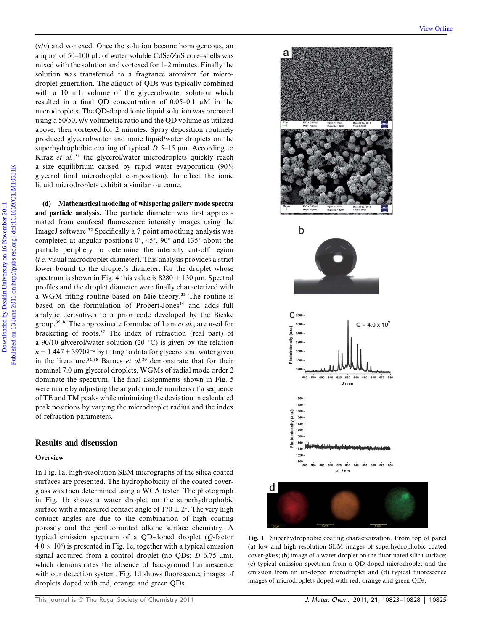(v/v) and vortexed. Once the solution became homogeneous, an aliquot of  $50-100 \mu L$  of water soluble CdSe/ZnS core–shells was mixed with the solution and vortexed for 1–2 minutes. Finally the solution was transferred to a fragrance atomizer for microdroplet generation. The aliquot of QDs was typically combined with a 10 mL volume of the glycerol/water solution which resulted in a final QD concentration of  $0.05-0.1$   $\mu$ M in the microdroplets. The QD-doped ionic liquid solution was prepared using a 50/50, v/v volumetric ratio and the QD volume as utilized above, then vortexed for 2 minutes. Spray deposition routinely produced glycerol/water and ionic liquid/water droplets on the superhydrophobic coating of typical  $D$  5–15  $\mu$ m. According to Kiraz et al.<sup>31</sup> the glycerol/water microdroplets quickly reach a size equilibrium caused by rapid water evaporation (90% glycerol final microdroplet composition). In effect the ionic liquid microdroplets exhibit a similar outcome.

(d) Mathematical modeling of whispering gallery mode spectra and particle analysis. The particle diameter was first approximated from confocal fluorescence intensity images using the ImageJ software.<sup>32</sup> Specifically a 7 point smoothing analysis was completed at angular positions  $0^\circ$ ,  $45^\circ$ ,  $90^\circ$  and  $135^\circ$  about the particle periphery to determine the intensity cut-off region (i.e. visual microdroplet diameter). This analysis provides a strict lower bound to the droplet's diameter: for the droplet whose spectrum is shown in Fig. 4 this value is  $8280 \pm 130$  µm. Spectral profiles and the droplet diameter were finally characterized with a WGM fitting routine based on Mie theory.<sup>33</sup> The routine is based on the formulation of Probert-Jones<sup>34</sup> and adds full analytic derivatives to a prior code developed by the Bieske group.35,36 The approximate formulae of Lam et al., are used for bracketing of roots.<sup>37</sup> The index of refraction (real part) of a 90/10 glycerol/water solution (20 $^{\circ}$ C) is given by the relation  $n = 1.447 + 3970\lambda^{-2}$  by fitting to data for glycerol and water given in the literature.<sup>31,38</sup> Barnes et al.<sup>39</sup> demonstrate that for their nominal 7.0 μm glycerol droplets, WGMs of radial mode order 2 dominate the spectrum. The final assignments shown in Fig. 5 were made by adjusting the angular mode numbers of a sequence of TE and TM peaks while minimizing the deviation in calculated peak positions by varying the microdroplet radius and the index of refraction parameters.

#### Results and discussion

# **Overview**

In Fig. 1a, high-resolution SEM micrographs of the silica coated surfaces are presented. The hydrophobicity of the coated coverglass was then determined using a WCA tester. The photograph in Fig. 1b shows a water droplet on the superhydrophobic surface with a measured contact angle of  $170 \pm 2^{\circ}$ . The very high contact angles are due to the combination of high coating porosity and the perfluorinated alkane surface chemistry. A typical emission spectrum of a QD-doped droplet (Q-factor  $4.0 \times 10^3$ ) is presented in Fig. 1c, together with a typical emission signal acquired from a control droplet (no QDs;  $D$  6.75  $\mu$ m), which demonstrates the absence of background luminescence with our detection system. Fig. 1d shows fluorescence images of droplets doped with red, orange and green QDs.



Fig. 1 Superhydrophobic coating characterization. From top of panel (a) low and high resolution SEM images of superhydrophobic coated cover-glass; (b) image of a water droplet on the fluorinated silica surface; (c) typical emission spectrum from a QD-doped microdroplet and the emission from an un-doped microdroplet and (d) typical fluorescence images of microdroplets doped with red, orange and green QDs.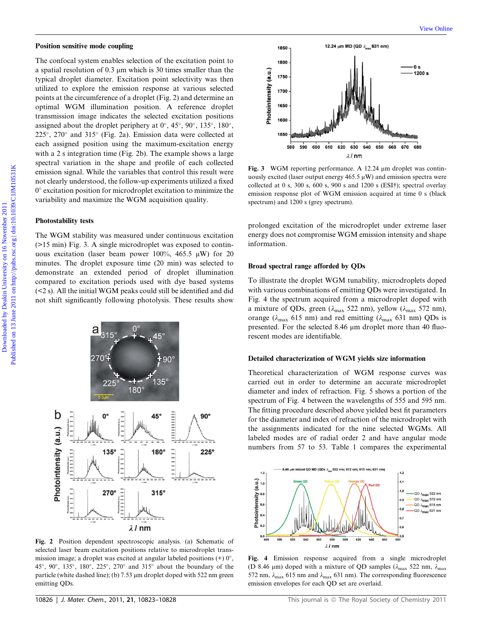#### Position sensitive mode coupling

The confocal system enables selection of the excitation point to a spatial resolution of  $0.3 \mu m$  which is 30 times smaller than the typical droplet diameter. Excitation point selectivity was then utilized to explore the emission response at various selected points at the circumference of a droplet (Fig. 2) and determine an optimal WGM illumination position. A reference droplet transmission image indicates the selected excitation positions assigned about the droplet periphery at  $0^\circ$ ,  $45^\circ$ ,  $90^\circ$ ,  $135^\circ$ ,  $180^\circ$ ,  $225^{\circ}$ ,  $270^{\circ}$  and  $315^{\circ}$  (Fig. 2a). Emission data were collected at each assigned position using the maximum-excitation energy with a 2 s integration time (Fig. 2b). The example shows a large spectral variation in the shape and profile of each collected emission signal. While the variables that control this result were not clearly understood, the follow-up experiments utilized a fixed  $0^{\circ}$  excitation position for microdroplet excitation to minimize the variability and maximize the WGM acquisition quality. **Position sensitive mode coupling.** View these contained priori times are applied by Deal of 0.3 and which is 3 doits weaked that the selection of the second of the contained by the selection of the selection of the selec

#### Photostability tests

The WGM stability was measured under continuous excitation (>15 min) Fig. 3. A single microdroplet was exposed to continuous excitation (laser beam power 100%, 465.5  $\mu$ W) for 20 minutes. The droplet exposure time (20 min) was selected to demonstrate an extended period of droplet illumination compared to excitation periods used with dye based systems (<2 s). All the initial WGM peaks could still be identified and did not shift significantly following photolysis. These results show



Fig. 2 Position dependent spectroscopic analysis. (a) Schematic of selected laser beam excitation positions relative to microdroplet transmission image; a droplet was excited at angular labeled positions  $(+) 0^\circ$ , 45°, 90°, 135°, 180°, 225°, 270° and 315° about the boundary of the particle (white dashed line); (b)  $7.53 \mu m$  droplet doped with  $522 \mu m$  green emitting QDs.



Fig. 3 WGM reporting performance. A 12.24 µm droplet was continuously excited (laser output energy  $465.5 \,\mathrm{\upmu W}$ ) and emission spectra were collected at 0 s, 300 s, 600 s, 900 s and 1200 s (ESI†); spectral overlay emission response plot of WGM emission acquired at time 0 s (black spectrum) and 1200 s (grey spectrum).

prolonged excitation of the microdroplet under extreme laser energy does not compromise WGM emission intensity and shape information.

#### Broad spectral range afforded by QDs

To illustrate the droplet WGM tunability, microdroplets doped with various combinations of emitting QDs were investigated. In Fig. 4 the spectrum acquired from a microdroplet doped with a mixture of QDs, green ( $\lambda_{\text{max}}$  522 nm), yellow ( $\lambda_{\text{max}}$  572 nm), orange ( $\lambda_{\text{max}}$  615 nm) and red emitting ( $\lambda_{\text{max}}$  631 nm) QDs is presented. For the selected 8.46  $\mu$ m droplet more than 40 fluorescent modes are identifiable.

#### Detailed characterization of WGM yields size information

Theoretical characterization of WGM response curves was carried out in order to determine an accurate microdroplet diameter and index of refraction. Fig. 5 shows a portion of the spectrum of Fig. 4 between the wavelengths of 555 and 595 nm. The fitting procedure described above yielded best fit parameters for the diameter and index of refraction of the microdroplet with the assignments indicated for the nine selected WGMs. All labeled modes are of radial order 2 and have angular mode numbers from 57 to 53. Table 1 compares the experimental



Fig. 4 Emission response acquired from a single microdroplet (D 8.46 µm) doped with a mixture of QD samples ( $\lambda_{\text{max}}$  522 nm,  $\lambda_{\text{max}}$ 572 nm,  $\lambda_{\text{max}}$  615 nm and  $\lambda_{\text{max}}$  631 nm). The corresponding fluorescence emission envelopes for each QD set are overlaid.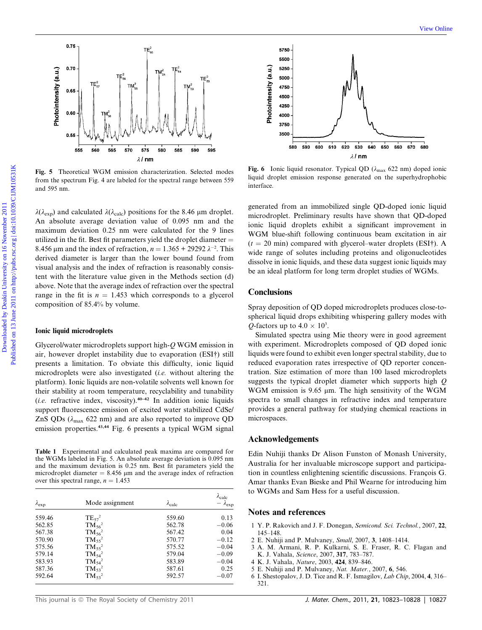

Fig. 5 Theoretical WGM emission characterization. Selected modes from the spectrum Fig. 4 are labeled for the spectral range between 559 and 595 nm.

 $\lambda(\lambda_{\mathrm{exp}})$  and calculated  $\lambda(\lambda_{\mathrm{calc}})$  positions for the 8.46 µm droplet. An absolute average deviation value of 0.095 nm and the maximum deviation 0.25 nm were calculated for the 9 lines utilized in the fit. Best fit parameters yield the droplet diameter  $=$ 8.456  $\mu$ m and the index of refraction,  $n = 1.365 + 29292 \lambda^{-2}$ . This derived diameter is larger than the lower bound found from visual analysis and the index of refraction is reasonably consistent with the literature value given in the Methods section (d) above. Note that the average index of refraction over the spectral range in the fit is  $n = 1.453$  which corresponds to a glycerol composition of 85.4% by volume.

#### Ionic liquid microdroplets

Glycerol/water microdroplets support high-Q WGM emission in air, however droplet instability due to evaporation (ESI†) still presents a limitation. To obviate this difficulty, ionic liquid microdroplets were also investigated (i.e. without altering the platform). Ionic liquids are non-volatile solvents well known for their stability at room temperature, recyclability and tunability (*i.e.* refractive index, viscosity).<sup>40-42</sup> In addition ionic liquids support fluorescence emission of excited water stabilized CdSe/ ZnS QDs ( $\lambda_{\text{max}}$  622 nm) and are also reported to improve QD emission properties.<sup>43,44</sup> Fig. 6 presents a typical WGM signal

Table 1 Experimental and calculated peak maxima are compared for the WGMs labeled in Fig. 5. An absolute average deviation is 0.095 nm and the maximum deviation is 0.25 nm. Best fit parameters yield the microdroplet diameter  $= 8.456 \mu m$  and the average index of refraction over this spectral range,  $n = 1.453$ 

| $\lambda_{exp}$ | Mode assignment | $\lambda_{\text{calc}}$ | $\lambda_{\text{calc}}$<br>. $\lambda_{\rm exp}$ |
|-----------------|-----------------|-------------------------|--------------------------------------------------|
| 559.46          | $TE_{57}^2$     | 559.60                  | 0.13                                             |
| 562.85          | $TM_{56}^2$     | 562.78                  | $-0.06$                                          |
| 567.38          | $TM_{56}^2$     | 567.42                  | 0.04                                             |
| 570.90          | $TM_{55}^2$     | 570.77                  | $-0.12$                                          |
| 575.56          | $TM_{55}^2$     | 575.52                  | $-0.04$                                          |
| 579.14          | $TM_{54}^2$     | 579.04                  | $-0.09$                                          |
| 583.93          | $TM_{54}^2$     | 583.89                  | $-0.04$                                          |
| 587.36          | $TM_{53}^2$     | 587.61                  | 0.25                                             |
| 592.64          | $TM_{53}^2$     | 592.57                  | $-0.07$                                          |



Fig. 6 Ionic liquid resonator. Typical QD ( $\lambda_{\text{max}}$  622 nm) doped ionic liquid droplet emission response generated on the superhydrophobic interface.

generated from an immobilized single QD-doped ionic liquid microdroplet. Preliminary results have shown that QD-doped ionic liquid droplets exhibit a significant improvement in WGM blue-shift following continuous beam excitation in air  $(t = 20 \text{ min})$  compared with glycerol–water droplets (ESI†). A wide range of solutes including proteins and oligonucleotides dissolve in ionic liquids, and these data suggest ionic liquids may be an ideal platform for long term droplet studies of WGMs.

# **Conclusions**

Spray deposition of QD doped microdroplets produces close-tospherical liquid drops exhibiting whispering gallery modes with *Q*-factors up to  $4.0 \times 10^3$ .

Simulated spectra using Mie theory were in good agreement with experiment. Microdroplets composed of QD doped ionic liquids were found to exhibit even longer spectral stability, due to reduced evaporation rates irrespective of QD reporter concentration. Size estimation of more than 100 lased microdroplets suggests the typical droplet diameter which supports high  $Q$ WGM emission is  $9.65 \mu m$ . The high sensitivity of the WGM spectra to small changes in refractive index and temperature provides a general pathway for studying chemical reactions in microspaces.

### Acknowledgements

Edin Nuhiji thanks Dr Alison Funston of Monash University, Australia for her invaluable microscope support and participation in countless enlightening scientific discussions. François G. Amar thanks Evan Bieske and Phil Wearne for introducing him to WGMs and Sam Hess for a useful discussion.

#### Notes and references

- 1 Y. P. Rakovich and J. F. Donegan, Semicond. Sci. Technol., 2007, 22, 145–148.
- 2 E. Nuhiji and P. Mulvaney, Small, 2007, 3, 1408–1414.
- 3 A. M. Armani, R. P. Kulkarni, S. E. Fraser, R. C. Flagan and K. J. Vahala, Science, 2007, 317, 783–787.
- 4 K. J. Vahala, Nature, 2003, 424, 839–846.
- 5 E. Nuhiji and P. Mulvaney, Nat. Mater., 2007, 6, 546.
- 6 I. Shestopalov, J. D. Tice and R. F. Ismagilov, Lab Chip, 2004, 4, 316– 321.